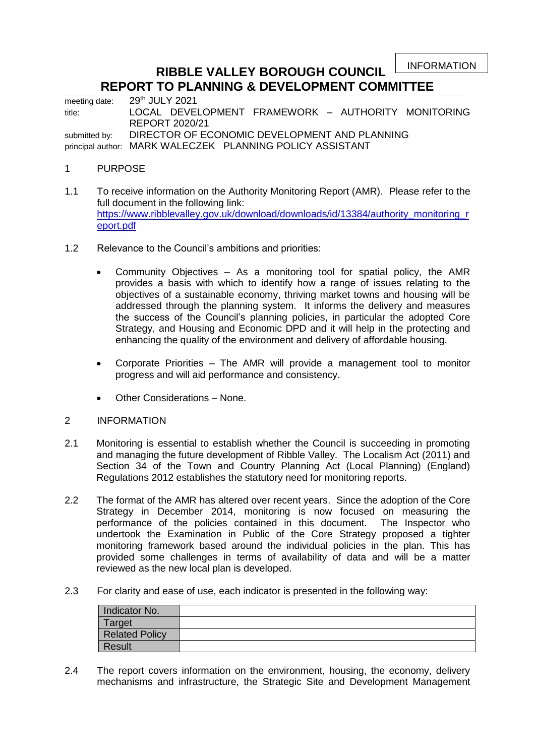INFORMATION

## **RIBBLE VALLEY BOROUGH COUNCIL REPORT TO PLANNING & DEVELOPMENT COMMITTEE**

meeting date: 29<sup>th</sup> JULY 2021 title: LOCAL DEVELOPMENT FRAMEWORK – AUTHORITY MONITORING REPORT 2020/21 submitted by: DIRECTOR OF ECONOMIC DEVELOPMENT AND PLANNING principal author: MARK WALECZEK PLANNING POLICY ASSISTANT

## 1 PURPOSE

- 1.1 To receive information on the Authority Monitoring Report (AMR). Please refer to the full document in the following link: [https://www.ribblevalley.gov.uk/download/downloads/id/13384/authority\\_monitoring\\_r](https://www.ribblevalley.gov.uk/download/downloads/id/13384/authority_monitoring_report.pdf) [eport.pdf](https://www.ribblevalley.gov.uk/download/downloads/id/13384/authority_monitoring_report.pdf)
- 1.2 Relevance to the Council's ambitions and priorities:
	- Community Objectives As a monitoring tool for spatial policy, the AMR provides a basis with which to identify how a range of issues relating to the objectives of a sustainable economy, thriving market towns and housing will be addressed through the planning system. It informs the delivery and measures the success of the Council's planning policies, in particular the adopted Core Strategy, and Housing and Economic DPD and it will help in the protecting and enhancing the quality of the environment and delivery of affordable housing.
	- Corporate Priorities The AMR will provide a management tool to monitor progress and will aid performance and consistency.
	- Other Considerations None.

## 2 INFORMATION

- 2.1 Monitoring is essential to establish whether the Council is succeeding in promoting and managing the future development of Ribble Valley. The Localism Act (2011) and Section 34 of the Town and Country Planning Act (Local Planning) (England) Regulations 2012 establishes the statutory need for monitoring reports.
- 2.2 The format of the AMR has altered over recent years. Since the adoption of the Core Strategy in December 2014, monitoring is now focused on measuring the performance of the policies contained in this document. The Inspector who undertook the Examination in Public of the Core Strategy proposed a tighter monitoring framework based around the individual policies in the plan. This has provided some challenges in terms of availability of data and will be a matter reviewed as the new local plan is developed.
- 2.3 For clarity and ease of use, each indicator is presented in the following way:

| Indicator No.         |  |
|-----------------------|--|
| Target                |  |
| <b>Related Policy</b> |  |
| <b>Result</b>         |  |

2.4 The report covers information on the environment, housing, the economy, delivery mechanisms and infrastructure, the Strategic Site and Development Management